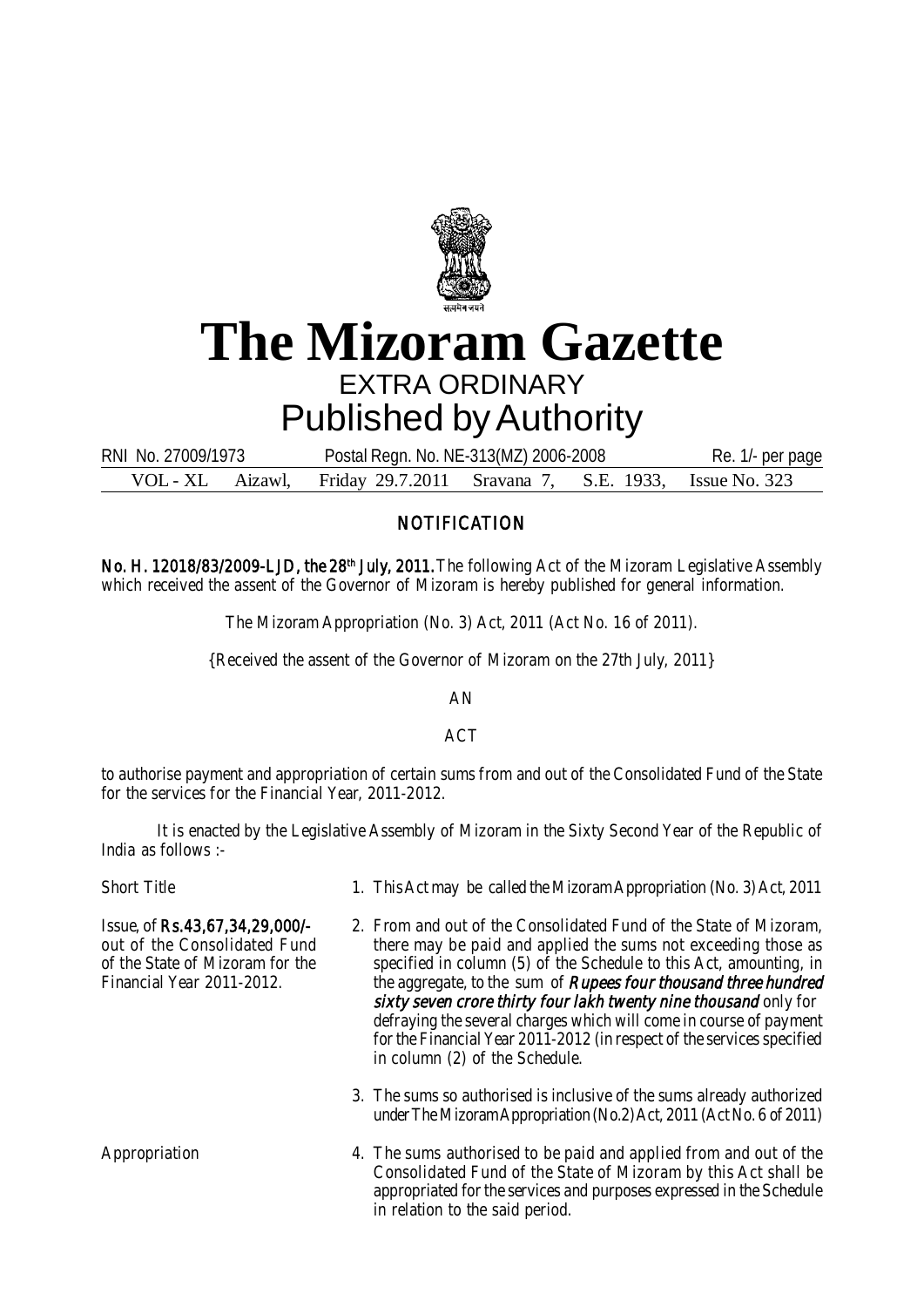

## **The Mizoram Gazette** EXTRA ORDINARY Published by Authority

VOL - XL Aizawl, Friday 29.7.2011 Sravana 7, S.E. 1933, Issue No. 323 RNI No. 27009/1973 Postal Regn. No. NE-313(MZ) 2006-2008 Re. 1/- per page

## NOTIFICATION

No. H. 12018/83/2009-LJD, the 28<sup>th</sup> July, 2011. The following Act of the Mizoram Legislative Assembly which received the assent of the Governor of Mizoram is hereby published for general information.

The Mizoram Appropriation (No. 3) Act, 2011 (Act No. 16 of 2011).

{Received the assent of the Governor of Mizoram on the 27th July, 2011}

AN

**ACT** 

to authorise payment and appropriation of certain sums from and out of the Consolidated Fund of the State for the services for the Financial Year, 2011-2012.

It is enacted by the Legislative Assembly of Mizoram in the Sixty Second Year of the Republic of India as follows :-

Short Title 1. This Act may be called the Mizoram Appropriation (No. 3) Act, 2011

- Issue, of Rs.43,67,34,29,000/- 2. From and out of the Consolidated Fund of the State of Mizoram, out of the Consolidated Fund there may be paid and applied the sums not exceeding those as of the State of Mizoram for the specified in column (5) of the Schedule to this Act, amounting, in Financial Year 2011-2012. the aggregate, to the sum of **Rupees four thousand three hundred** sixty seven crore thirty four lakh twenty nine thousand only for defraying the several charges which will come in course of payment for the Financial Year 2011-2012 (in respect of the services specified in column (2) of the Schedule.
	- 3. The sums so authorised is inclusive of the sums already authorized under The Mizoram Appropriation (No.2) Act, 2011 (Act No. 6 of 2011)
- Appropriation **4.** The sums authorised to be paid and applied from and out of the Consolidated Fund of the State of Mizoram by this Act shall be appropriated for the services and purposes expressed in the Schedule in relation to the said period.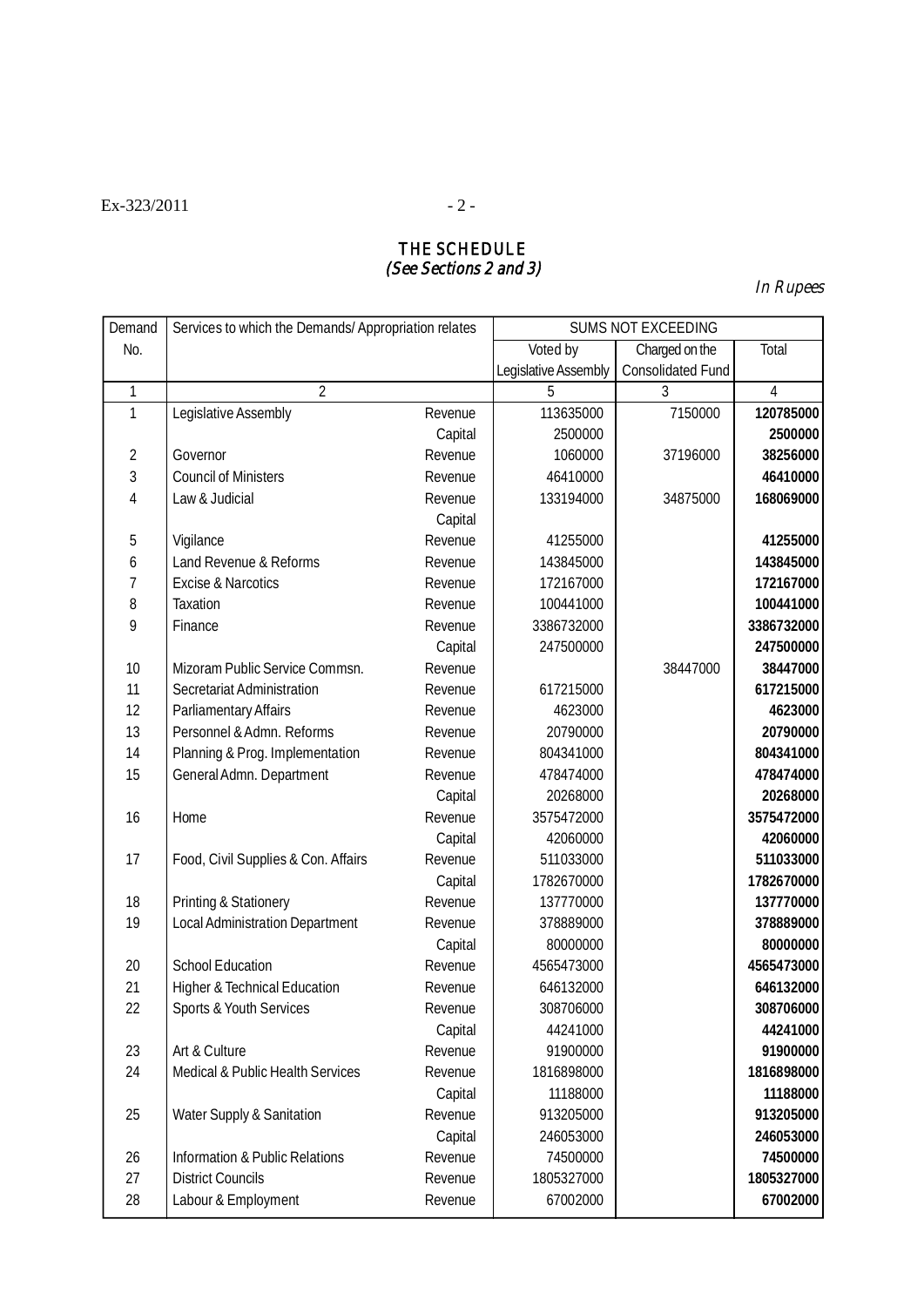## THE SCHEDULE (See Sections 2 and 3)

In Rupees

| Demand       | Services to which the Demands/ Appropriation relates |         | SUMS NOT EXCEEDING   |                          |            |  |
|--------------|------------------------------------------------------|---------|----------------------|--------------------------|------------|--|
| No.          |                                                      |         | Voted by             | Charged on the           | Total      |  |
|              |                                                      |         | Legislative Assembly | <b>Consolidated Fund</b> |            |  |
| $\mathbf{1}$ | $\overline{2}$                                       |         | 5                    | 3                        | 4          |  |
| 1            | Legislative Assembly                                 | Revenue | 113635000            | 7150000                  | 120785000  |  |
|              |                                                      | Capital | 2500000              |                          | 2500000    |  |
| 2            | Governor                                             | Revenue | 1060000              | 37196000                 | 38256000   |  |
| 3            | <b>Council of Ministers</b>                          | Revenue | 46410000             |                          | 46410000   |  |
| 4            | Law & Judicial                                       | Revenue | 133194000            | 34875000                 | 168069000  |  |
|              |                                                      | Capital |                      |                          |            |  |
| 5            | Vigilance                                            | Revenue | 41255000             |                          | 41255000   |  |
| 6            | Land Revenue & Reforms                               | Revenue | 143845000            |                          | 143845000  |  |
| 7            | <b>Excise &amp; Narcotics</b>                        | Revenue | 172167000            |                          | 172167000  |  |
| 8            | Taxation                                             | Revenue | 100441000            |                          | 100441000  |  |
| 9            | Finance                                              | Revenue | 3386732000           |                          | 3386732000 |  |
|              |                                                      | Capital | 247500000            |                          | 247500000  |  |
| 10           | Mizoram Public Service Commsn.                       | Revenue |                      | 38447000                 | 38447000   |  |
| 11           | Secretariat Administration                           | Revenue | 617215000            |                          | 617215000  |  |
| 12           | Parliamentary Affairs                                | Revenue | 4623000              |                          | 4623000    |  |
| 13           | Personnel & Admn. Reforms                            | Revenue | 20790000             |                          | 20790000   |  |
| 14           | Planning & Prog. Implementation                      | Revenue | 804341000            |                          | 804341000  |  |
| 15           | General Admn. Department                             | Revenue | 478474000            |                          | 478474000  |  |
|              |                                                      | Capital | 20268000             |                          | 20268000   |  |
| 16           | Home                                                 | Revenue | 3575472000           |                          | 3575472000 |  |
|              |                                                      | Capital | 42060000             |                          | 42060000   |  |
| 17           | Food, Civil Supplies & Con. Affairs                  | Revenue | 511033000            |                          | 511033000  |  |
|              |                                                      | Capital | 1782670000           |                          | 1782670000 |  |
| 18           | Printing & Stationery                                | Revenue | 137770000            |                          | 137770000  |  |
| 19           | <b>Local Administration Department</b>               | Revenue | 378889000            |                          | 378889000  |  |
|              |                                                      | Capital | 80000000             |                          | 80000000   |  |
| 20           | <b>School Education</b>                              | Revenue | 4565473000           |                          | 4565473000 |  |
| 21           | <b>Higher &amp; Technical Education</b>              | Revenue | 646132000            |                          | 646132000  |  |
| 22           | Sports & Youth Services                              | Revenue | 308706000            |                          | 308706000  |  |
|              |                                                      | Capital | 44241000             |                          | 44241000   |  |
| 23           | Art & Culture                                        | Revenue | 91900000             |                          | 91900000   |  |
| 24           | Medical & Public Health Services                     | Revenue | 1816898000           |                          | 1816898000 |  |
|              |                                                      | Capital | 11188000             |                          | 11188000   |  |
| 25           | Water Supply & Sanitation                            | Revenue | 913205000            |                          | 913205000  |  |
|              |                                                      | Capital | 246053000            |                          | 246053000  |  |
| 26           | Information & Public Relations                       | Revenue | 74500000             |                          | 74500000   |  |
| 27           | <b>District Councils</b>                             | Revenue | 1805327000           |                          | 1805327000 |  |
| 28           | Labour & Employment                                  | Revenue | 67002000             |                          | 67002000   |  |